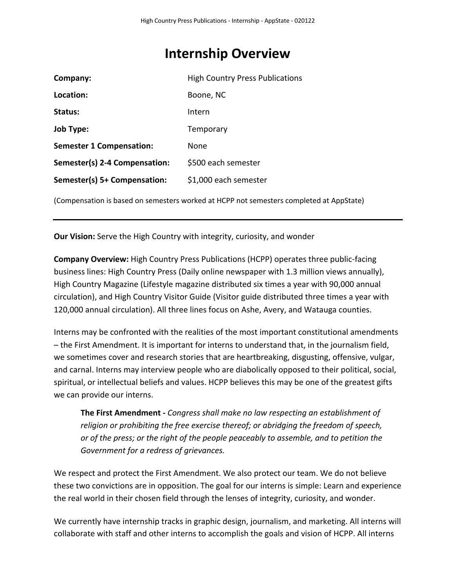# **Internship Overview**

| Company:                        | <b>High Country Press Publications</b> |
|---------------------------------|----------------------------------------|
| Location:                       | Boone, NC                              |
| Status:                         | Intern                                 |
| <b>Job Type:</b>                | Temporary                              |
| <b>Semester 1 Compensation:</b> | None                                   |
| Semester(s) 2-4 Compensation:   | \$500 each semester                    |
| Semester(s) 5+ Compensation:    | \$1,000 each semester                  |

(Compensation is based on semesters worked at HCPP not semesters completed at AppState)

**Our Vision:** Serve the High Country with integrity, curiosity, and wonder

**Company Overview:** High Country Press Publications (HCPP) operates three public-facing business lines: High Country Press (Daily online newspaper with 1.3 million views annually), High Country Magazine (Lifestyle magazine distributed six times a year with 90,000 annual circulation), and High Country Visitor Guide (Visitor guide distributed three times a year with 120,000 annual circulation). All three lines focus on Ashe, Avery, and Watauga counties.

Interns may be confronted with the realities of the most important constitutional amendments – the First Amendment. It is important for interns to understand that, in the journalism field, we sometimes cover and research stories that are heartbreaking, disgusting, offensive, vulgar, and carnal. Interns may interview people who are diabolically opposed to their political, social, spiritual, or intellectual beliefs and values. HCPP believes this may be one of the greatest gifts we can provide our interns.

**The First Amendment -** *Congress shall make no law respecting an establishment of religion or prohibiting the free exercise thereof; or abridging the freedom of speech, or of the press; or the right of the people peaceably to assemble, and to petition the Government for a redress of grievances.*

We respect and protect the First Amendment. We also protect our team. We do not believe these two convictions are in opposition. The goal for our interns is simple: Learn and experience the real world in their chosen field through the lenses of integrity, curiosity, and wonder.

We currently have internship tracks in graphic design, journalism, and marketing. All interns will collaborate with staff and other interns to accomplish the goals and vision of HCPP. All interns